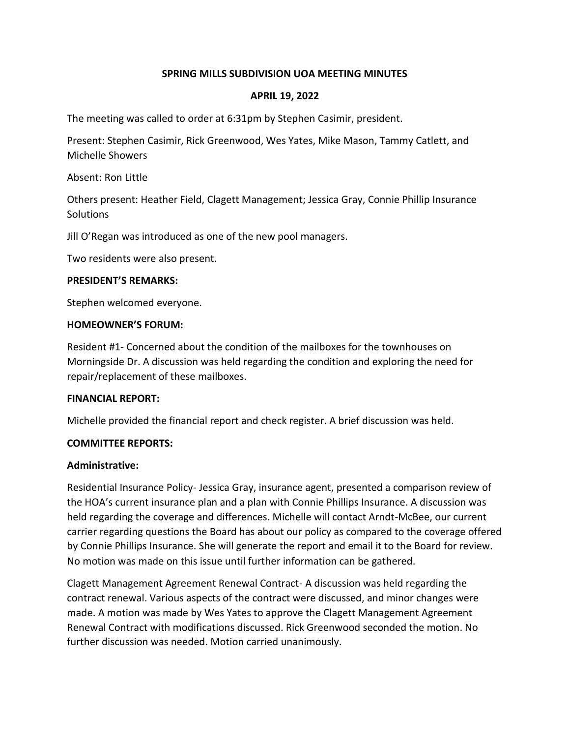## **SPRING MILLS SUBDIVISION UOA MEETING MINUTES**

### **APRIL 19, 2022**

The meeting was called to order at 6:31pm by Stephen Casimir, president.

Present: Stephen Casimir, Rick Greenwood, Wes Yates, Mike Mason, Tammy Catlett, and Michelle Showers

Absent: Ron Little

Others present: Heather Field, Clagett Management; Jessica Gray, Connie Phillip Insurance **Solutions** 

Jill O'Regan was introduced as one of the new pool managers.

Two residents were also present.

#### **PRESIDENT'S REMARKS:**

Stephen welcomed everyone.

#### **HOMEOWNER'S FORUM:**

Resident #1- Concerned about the condition of the mailboxes for the townhouses on Morningside Dr. A discussion was held regarding the condition and exploring the need for repair/replacement of these mailboxes.

## **FINANCIAL REPORT:**

Michelle provided the financial report and check register. A brief discussion was held.

#### **COMMITTEE REPORTS:**

#### **Administrative:**

Residential Insurance Policy- Jessica Gray, insurance agent, presented a comparison review of the HOA's current insurance plan and a plan with Connie Phillips Insurance. A discussion was held regarding the coverage and differences. Michelle will contact Arndt-McBee, our current carrier regarding questions the Board has about our policy as compared to the coverage offered by Connie Phillips Insurance. She will generate the report and email it to the Board for review. No motion was made on this issue until further information can be gathered.

Clagett Management Agreement Renewal Contract- A discussion was held regarding the contract renewal. Various aspects of the contract were discussed, and minor changes were made. A motion was made by Wes Yates to approve the Clagett Management Agreement Renewal Contract with modifications discussed. Rick Greenwood seconded the motion. No further discussion was needed. Motion carried unanimously.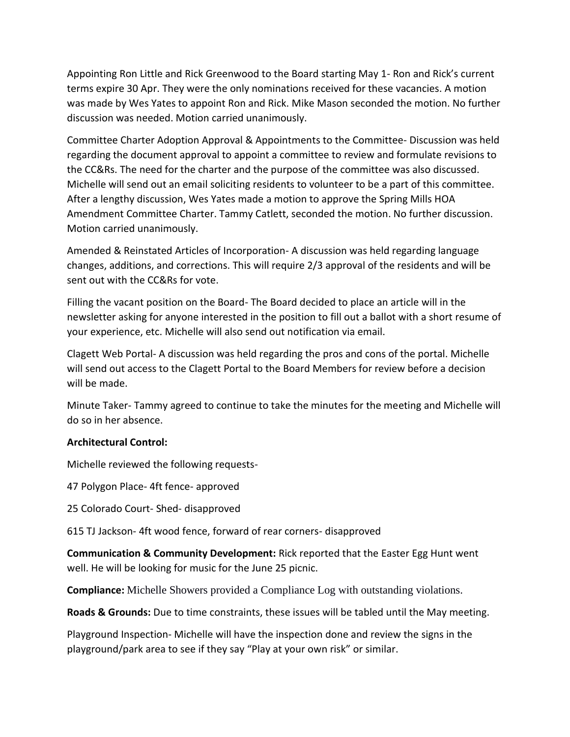Appointing Ron Little and Rick Greenwood to the Board starting May 1- Ron and Rick's current terms expire 30 Apr. They were the only nominations received for these vacancies. A motion was made by Wes Yates to appoint Ron and Rick. Mike Mason seconded the motion. No further discussion was needed. Motion carried unanimously.

Committee Charter Adoption Approval & Appointments to the Committee- Discussion was held regarding the document approval to appoint a committee to review and formulate revisions to the CC&Rs. The need for the charter and the purpose of the committee was also discussed. Michelle will send out an email soliciting residents to volunteer to be a part of this committee. After a lengthy discussion, Wes Yates made a motion to approve the Spring Mills HOA Amendment Committee Charter. Tammy Catlett, seconded the motion. No further discussion. Motion carried unanimously.

Amended & Reinstated Articles of Incorporation- A discussion was held regarding language changes, additions, and corrections. This will require 2/3 approval of the residents and will be sent out with the CC&Rs for vote.

Filling the vacant position on the Board- The Board decided to place an article will in the newsletter asking for anyone interested in the position to fill out a ballot with a short resume of your experience, etc. Michelle will also send out notification via email.

Clagett Web Portal- A discussion was held regarding the pros and cons of the portal. Michelle will send out access to the Clagett Portal to the Board Members for review before a decision will be made.

Minute Taker- Tammy agreed to continue to take the minutes for the meeting and Michelle will do so in her absence.

# **Architectural Control:**

Michelle reviewed the following requests-

47 Polygon Place- 4ft fence- approved

25 Colorado Court- Shed- disapproved

615 TJ Jackson- 4ft wood fence, forward of rear corners- disapproved

**Communication & Community Development:** Rick reported that the Easter Egg Hunt went well. He will be looking for music for the June 25 picnic.

**Compliance:** Michelle Showers provided a Compliance Log with outstanding violations.

**Roads & Grounds:** Due to time constraints, these issues will be tabled until the May meeting.

Playground Inspection- Michelle will have the inspection done and review the signs in the playground/park area to see if they say "Play at your own risk" or similar.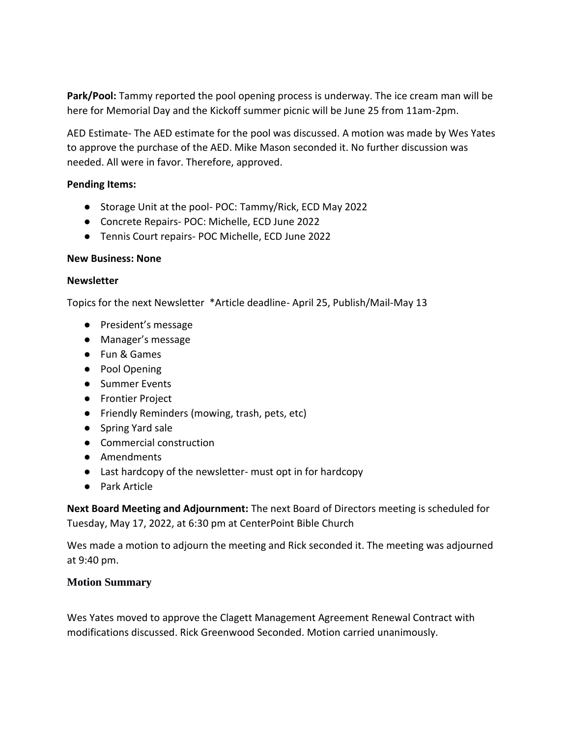**Park/Pool:** Tammy reported the pool opening process is underway. The ice cream man will be here for Memorial Day and the Kickoff summer picnic will be June 25 from 11am-2pm.

AED Estimate- The AED estimate for the pool was discussed. A motion was made by Wes Yates to approve the purchase of the AED. Mike Mason seconded it. No further discussion was needed. All were in favor. Therefore, approved.

## **Pending Items:**

- Storage Unit at the pool- POC: Tammy/Rick, ECD May 2022
- Concrete Repairs- POC: Michelle, ECD June 2022
- Tennis Court repairs- POC Michelle, ECD June 2022

## **New Business: None**

### **Newsletter**

Topics for the next Newsletter \*Article deadline- April 25, Publish/Mail-May 13

- President's message
- Manager's message
- Fun & Games
- Pool Opening
- Summer Events
- Frontier Project
- Friendly Reminders (mowing, trash, pets, etc)
- Spring Yard sale
- Commercial construction
- Amendments
- Last hardcopy of the newsletter- must opt in for hardcopy
- Park Article

**Next Board Meeting and Adjournment:** The next Board of Directors meeting is scheduled for Tuesday, May 17, 2022, at 6:30 pm at CenterPoint Bible Church

Wes made a motion to adjourn the meeting and Rick seconded it. The meeting was adjourned at 9:40 pm.

# **Motion Summary**

Wes Yates moved to approve the Clagett Management Agreement Renewal Contract with modifications discussed. Rick Greenwood Seconded. Motion carried unanimously.